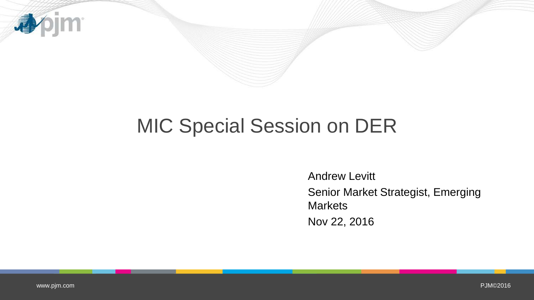

# MIC Special Session on DER

Andrew Levitt Senior Market Strategist, Emerging **Markets** Nov 22, 2016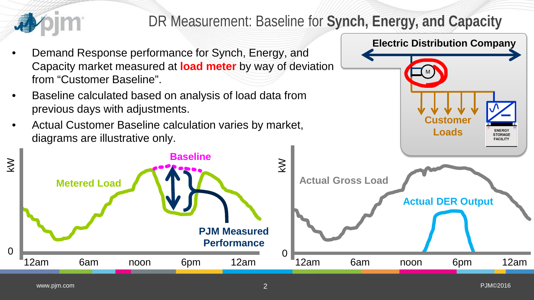

# DR Measurement: Baseline for **Synch, Energy, and Capacity**

- Demand Response performance for Synch, Energy, and Capacity market measured at **load meter** by way of deviation from "Customer Baseline".
- Baseline calculated based on analysis of load data from previous days with adjustments.
- Actual Customer Baseline calculation varies by market, diagrams are illustrative only.



**ENERGY STORAGE FACILITY** 

M

**Customer**

**Electric Distribution Company**

**Loads**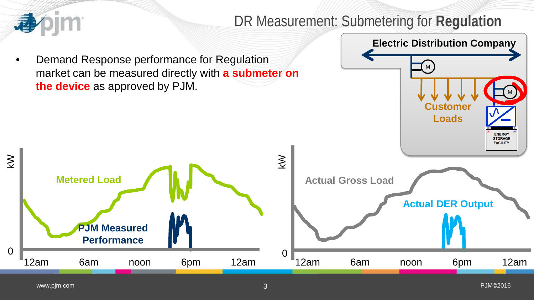

kW

### DR Measurement: Submetering for **Regulation**

• Demand Response performance for Regulation market can be measured directly with **a submeter on the device** as approved by PJM.

12am 6am noon 6pm 12am

**PJM Measured**

**Performance**



**Metered Load**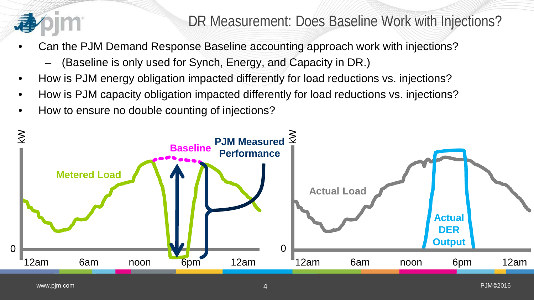

- Can the PJM Demand Response Baseline accounting approach work with injections?
	- (Baseline is only used for Synch, Energy, and Capacity in DR.)
- How is PJM energy obligation impacted differently for load reductions vs. injections?
- How is PJM capacity obligation impacted differently for load reductions vs. injections?
- How to ensure no double counting of injections?

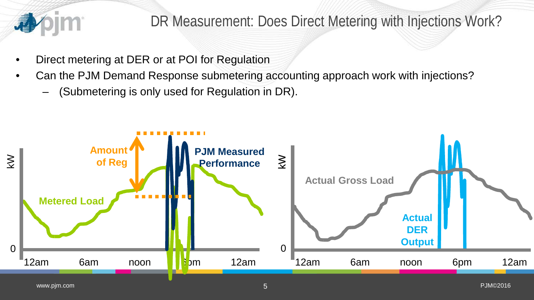

## DR Measurement: Does Direct Metering with Injections Work?

- Direct metering at DER or at POI for Regulation
- Can the PJM Demand Response submetering accounting approach work with injections?
	- (Submetering is only used for Regulation in DR).

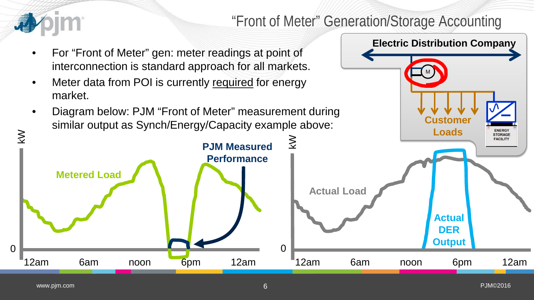

## "Front of Meter" Generation/Storage Accounting

M

**Customer**

**Electric Distribution Company**

- For "Front of Meter" gen: meter readings at point of interconnection is standard approach for all markets.
- Meter data from POI is currently required for energy market.
- Diagram below: PJM "Front of Meter" measurement during similar output as Synch/Energy/Capacity example above:

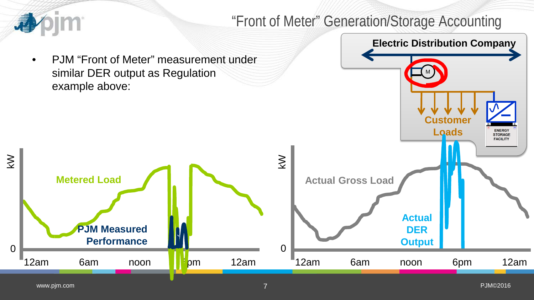#### **pim** "Front of Meter" Generation/Storage Accounting **Electric Distribution Company** • PJM "Front of Meter" measurement under similar DER output as Regulation M example above: **Customer Loads ENERGY<br>STORAGE FACILITY** kW **Metered Load Actual Gross Load Actual PJM Measured**

kW

12am 6am noon <mark>1</mark>1pm 12am

**Performance**

12am 6am noon 6pm 12am

**DER** 

**Output** <sup>0</sup> <sup>0</sup>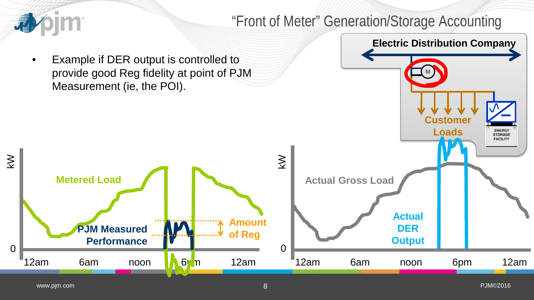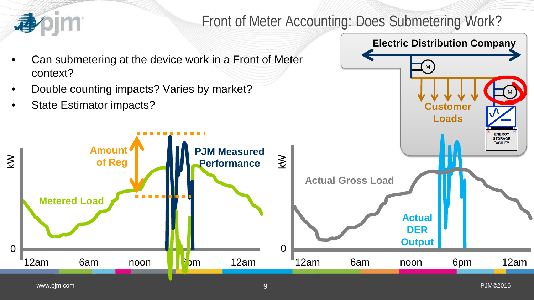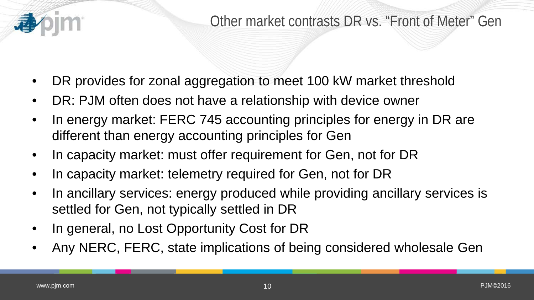

- DR provides for zonal aggregation to meet 100 kW market threshold
- DR: PJM often does not have a relationship with device owner
- In energy market: FERC 745 accounting principles for energy in DR are different than energy accounting principles for Gen
- In capacity market: must offer requirement for Gen, not for DR
- In capacity market: telemetry required for Gen, not for DR
- In ancillary services: energy produced while providing ancillary services is settled for Gen, not typically settled in DR
- In general, no Lost Opportunity Cost for DR
- Any NERC, FERC, state implications of being considered wholesale Gen